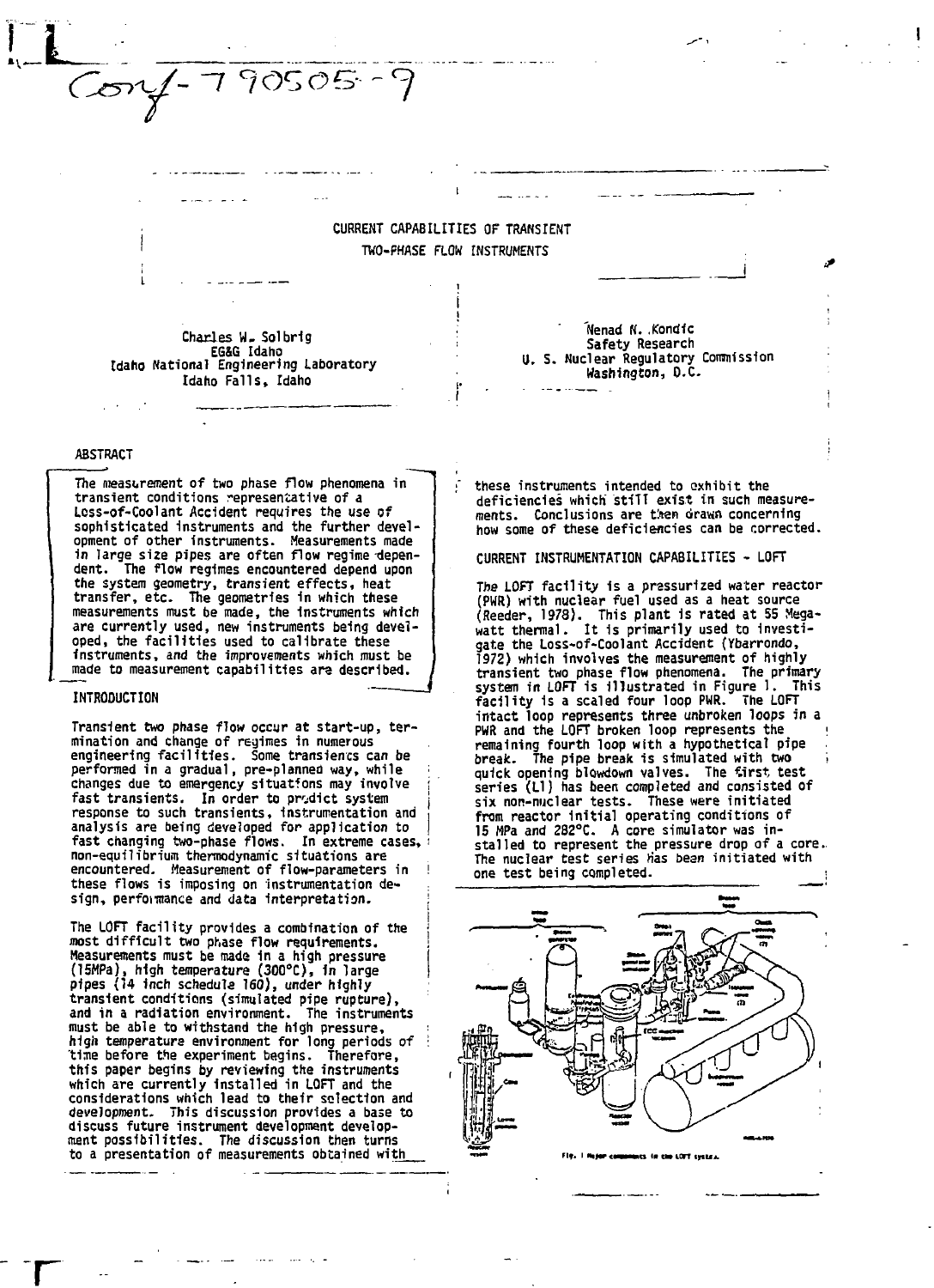$Covf - 790505 - 9$ 

**CURRENT CAPABILITIES OF TRANSIENT TWO-PHASE FLOW INSTRUMENTS**

I

**Charles U. Sol brig** Idaho National Engineering Laboratory Idaho Falls, Idaho

### **' 'Nenad N. Kondic Safety Research U. S. Nuclear Regulatory Commission Washington, O.C.**

# **ABSTRACT**

**The measurement of two phase flow phenomena in transient conditions representative of a Loss-of-Coolant Accident requires the use of sophisticated Instruments and the further devel-opment of other instruments. Measurements made 1n large size pipes are often flow regime dependent. The flow regimes encountered depend upon the system geometry, transient effects, heat transfer, etc. The geometries in which these measurements must be made, the Instruments which are currently used, new instruments being developed, the facilities used to calibrate these instruments, and the improvements which must be made to measurement capabilities ara described.**

### **INTRODUCTION**

**r**

**Transient two phase flow occur at start-up, termination and change of regimes in numerous engineering facilities. Some transients can be performed in a gradual, pre-planned way, while changes due to emergency situatfons may involve** fast transients. In order to prodict system **response to such transients, Instrumentation and analysis are being developed for application to fast changing two-phase flows. In extreme cases, non-equilibrium thermodynamic situations are encountered. Measurement of flow-parameters in these flows is imposing on instrumentation design, perfonnance and data interpretation.**

**The LOFT facility provides a combination of the most difficult two phase flow requirements. Measurements must be made in a high pressure (15«Pa), high temperature (300°C), In large pipes (14 inch schedule 160), under highly transient conditions (simulated pipe rupture), and in a radiation environment. The instruments must be able to withstand the high pressure, higii temperature environment for long periods of time before the experiment begins. Therefore, this paper begins by reviewing the instruments which are currently installed in LOFT and the considerations which lead to their selection and development. This discussion provides a base to discuss future instrument development development possibilities. The discussion then turns to a presentation of measurements obtained with**

**these instruments intended to exhibit the deficiencies which stiTT exist in such measurements. Conclusions are titan drawn concerning how some of these deficiencies can be corrected.**

**CURRENT INSTRUMENTATION CAPABILITIES • LOFT**

**The LOFT facility 1s a pressurized water reactor (PWR) with nuclear fuel used as a heat source (Reeder, 1978). This plant is rated at 55 Mega-watt thermal. It 1s primarily used to investigate the Loss-of-Coolant Accident (Ybarrondo, 1972) which involves the measurement of highly transient two phase flow phenomena. The primary system in LOFT is illustrated in Figure 1. This facility is a scaled four loop PWR. The LOFT intact loop represents three unbroken loops in a PWR and the LOFT broken loop represents the remaining fourth loop with a hypothetical pipe break. The pipe break is simulated with two i quick opening blowdown valves. The tirst test series (LI) has been completed and consisted of six non-nuclear tests. These were initiated from reactor Initial operating conditions of 15 HPa and 282°C. A core simulator was installed to represent the pressure drop of a core. The nuclear test series Has bean initiated with one test being completed. ;**



**torr IJIUJ.**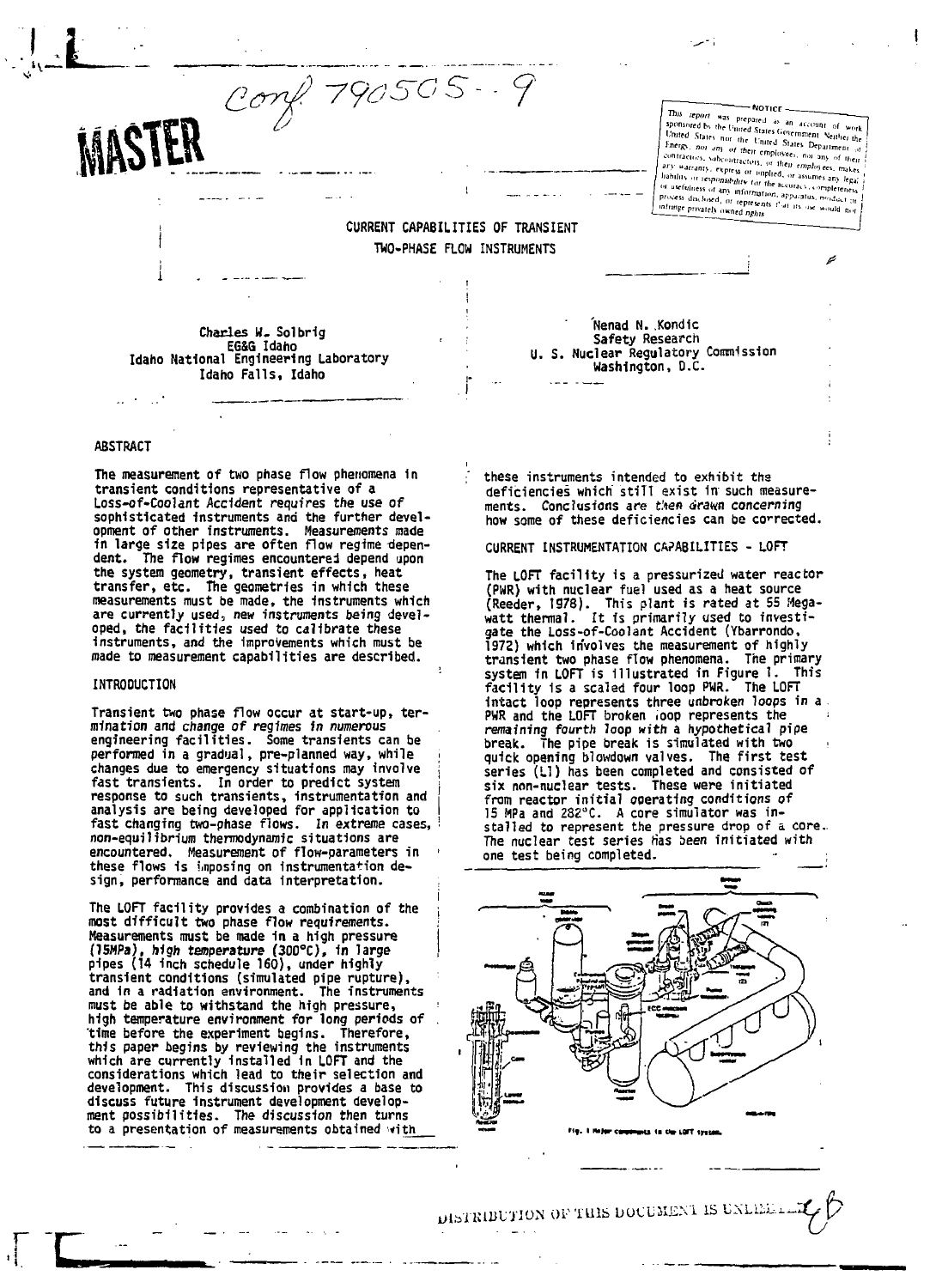Conf. 790505-9

This report was prepared as an account of work<br>aponsored by the United States Government Neither United States<br>United States hor the United States Government Neither the **NOTICE** Francoise by the United States Government Seither the United States has the United States Department of United States for the United States the file<br>formula variable for Finds, now any of their contractions, subcontractions, one has contractions of<br>their contractions, express or implied, or assumes any states<br>in the stress o process disclosed, or represents that its oscious process disclosed, or represents that its oscious would n niveces disclosed, or represent

# **CURRENT CAPABILITIES OF TRANSIENT TWO-PHASE FLOW INSTRUMENTS**

**Charles U. Sol brig EG&G** Idaho<br>Idaho National Engineering Laboratory Idaho Falls, Idaho

#### **ABSTRACT**

MASTER

ly

**The measurement of two phase flow phenomena In transient conditions representative of a Loss-of-Coolant Accident requires the use of sophisticated instruments and the further devel-opment of other instruments. Measurements made 1n large size pipes are often flow regime depen-dent. The flow regimes encountered depend upon the system geometry, transient effects, heat transfer, etc. The geometries in which these measurements must be made, the Instruments which are currently used, new instruments being developed, the facilities used to calibrate these instruments, and the Improvements which must be made to measurement capabilities are described.**

#### **INTRODUCTION**

**Transient two phase flow occur at start-up, termination and change of regimes in numerous engineering facilities. Some transients can be performed in a gradual, pre-planned way, while changes due to emergency situations may involve fast transients. In order to predict system response to such transients, Instrumentation and analysis are being developed for application to fast changing two-phase flows. In extreme cases, non-equilibrium thermodynamic situations are encountered. Measurement of flow-parameters in these flows 1s imposing on Instrumentation design, performance and data Interpretation.**

**The LOFT facility provides a combination of the most difficult two phase flow requirements. Measurements must be made 1n a high pressure (ISMPa), high temperature (300°C), 1n large pipes (14 Inch schedule 160), under highly transient conditions (simulated pipe rupture), and 1n a radiation environment. The instruments must be able to withstand the high pressure, high temperature environment for long periods of time before the experiment begins. Therefore, this paper begins by reviewing the instruments which are currently Installed In LOFT and the considerations which lead to their selection and development. This discussion provides a base to discuss future Instrument development develop-ment possibilities. The discussion then turns to a presentation of measurements obtained with**

**these instruments intended to exhibit ths deficiencies which" stiTT exist 1n such measurements. Conclusions are then drawn concerning**

**how some of these deficiencies can be corrected.**

**Nenad N. Kondic Safety Research U. S. Nuclear Regulatory Commission Washington, O.C.**

**CURRENT INSTRUMENTATION CAPABILITIES - LOFT**

**The LOFT facility is a pressurized water reactor (PUR) with nuclear fuel used as a heat source (Reeder, 1978). This plant is rated at 55 Mega-watt thermal. It is primarily used to investigate the Loss-of-Coolant Accident (Ybarrondo, 1972) which involves the measurement of highly transient two phase flow phenomena. The primary system in LOFT is Illustrated in Figure 1. This facility is a scaled four loop PWR. The LOFT Intact loop represents three unbroken loops in a** PWR and the LOFT broken loop represents the **remaining fourth loop with a hypothetical pipe break. The pipe break is simulated with two • quick opening blowdown valves. The first test series (LI) has been completed and consisted of six non-nuclear tests. These were initiated from reactor initial operating conditions of 15 MPa and 282°C. A core simulator was in-stalled to represent the pressure drop of a core.. The nuclear test series Has been initiated with one test being completed. • ;**



DISTRIBUTION OF THIS DOCUMENT IS UNLISE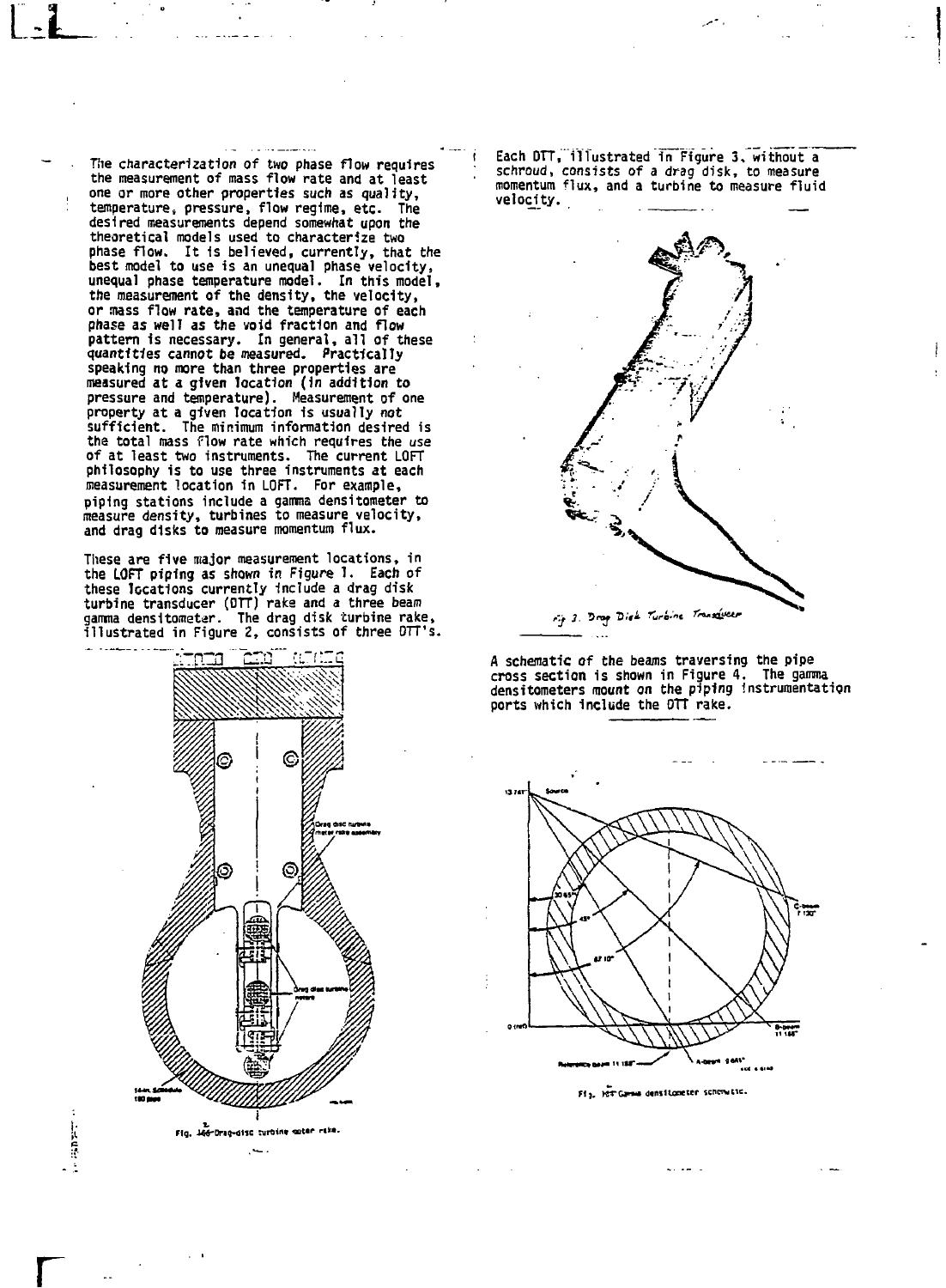**The characterization of two phase flow requires the measurement of mass flow rate and at least one or more other properties such as quality, temperature, pressure, flow regime, etc. The desired measurements depend somewhat upon the theoretical models used to characterize two phase flow. It 1s believed, currently, that the best model to use is an unequal phase velocity, unequal phase temperature model. In this model, the measurement of the density, the velocity, or mass flow rate, and the temperature of each phase as well as the void fraction and flow pattern 1s necessary. In general, all of these quantities cannot be measured. Practically speaking no more than three properties are measured at a given location (in addition to pressure and temperature). Measurement of one property at a given location Is usually not sufficient. The minimum information desired is the total mass flow rate which requires the use of at least two instruments. The current LOFT philosophy is to use three instruments at each measurement location in LOFT. For example, piping stations include a gamma densitometer to measure density, turbines to measure velocity, and drag disks to measure momentum flux.**

**These are five major measurement locations, in the LOFT piping as shown in Figure 1. Each of these locations currently include a drag disk turbine transducer (OTT) raka and a three beam gamma densitometar. The drag disk turbine rake, illustrated in Figure 2, consists of three OTT's.**



**r**

计算法

. .

**i Each OTT, illustrated in Figure 3, without a ; schroud, consists of a drag disk, to measure momentum flux, and a turbine to measure fluid velocity.**



**A schematic of the beans traversing the pipe cross section is shown in Figure 4. The gamma densitometers mount on the piping instrumentation ports which include the OTT rake.**



**fig.** Hit Gamma densitometer schowattc.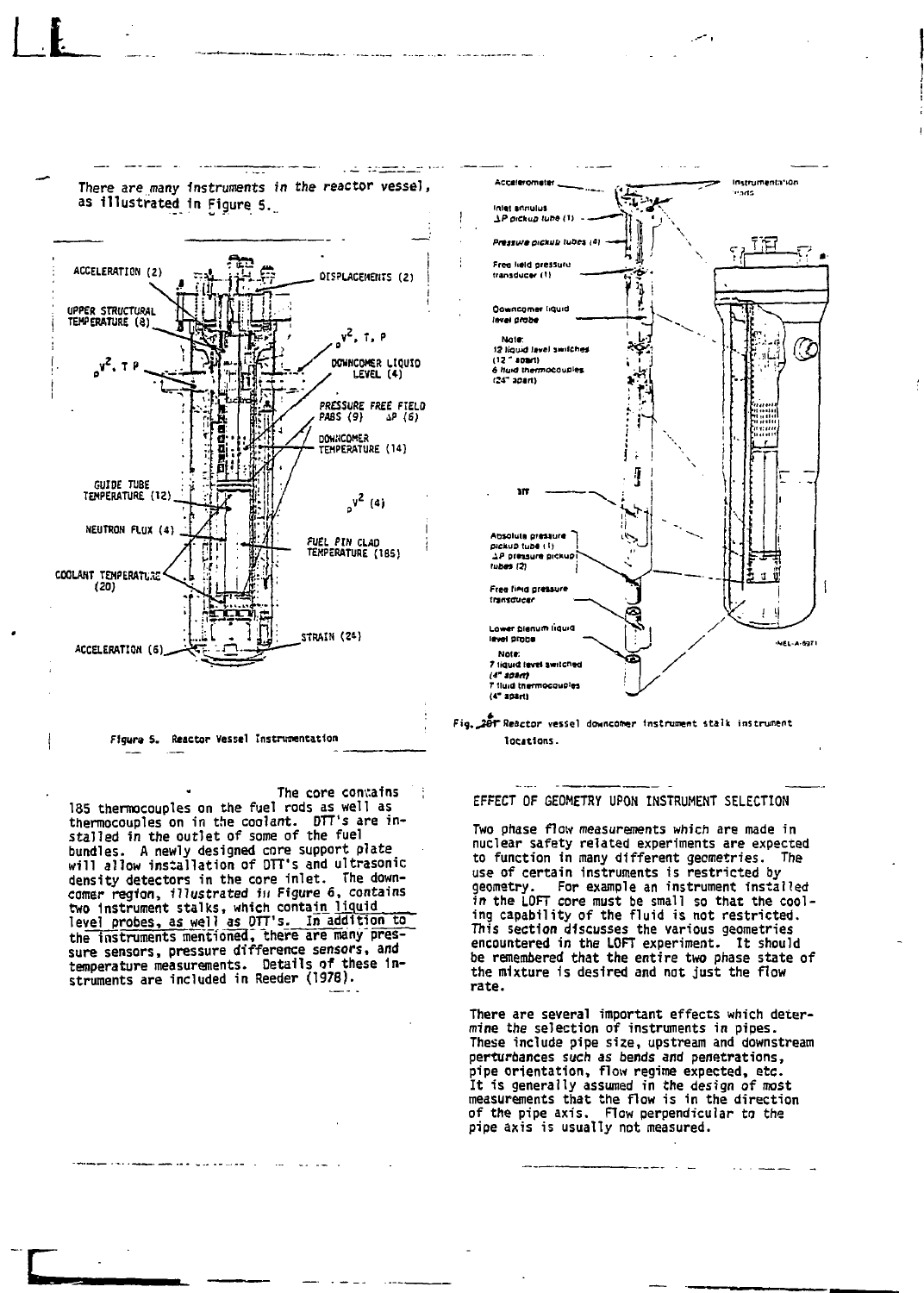

**There are many Instruments in the reactor vessel,**

and pr<u>opheric o</u>r

**I**

**r**

FIgura S. Reactor Vessel Instrumentation

The core contains **135 thermocouples on the fuel rods as well as thermocouples on in the coolant. DTT's are in-stalled in the outlet of some of the fuel bundles. A newly designed core support plate will allow installation of DTT's and ultrasonic density detectors in the core inlet. The down-comer region, illustrated in Figure 6, contains two Instrument stalks, which contain liquid level probes, as well as DTT's. In addition to the instruments mentionia, there are many pressure sensors, pressure difference sensors, and temperature measurements. Details of these Instruments are included in Reeder (1978).**





#### **EFFECT OF GEOMETRY UPON INSTRUMENT SELECTION**

**Two phase flow measurements which are made in nuclear safety related experiments are expected to function in many different geometries. The use of certain instruments is restricted by geometry. For example an instrument installed** in the LOFT core must be small so that the cool**ing capability of the fluid is not restricted. This section discusses the various geometries encountered in the LOFT experiment. It should be remembered that the entire two phase state of the mixture is desired and not just the flow rate.**

**There are several important effects which determine the selection of instruments in pipes. These include pipe size, upstream and downstream perturbances such as bends and penetrations, pipe orientation, flow regime expected, etc. It is generally assumed in the design of most measurements that the flow is in the direction of the pipe axis. Flow perpendicular to the pipe axis is usually not measured.**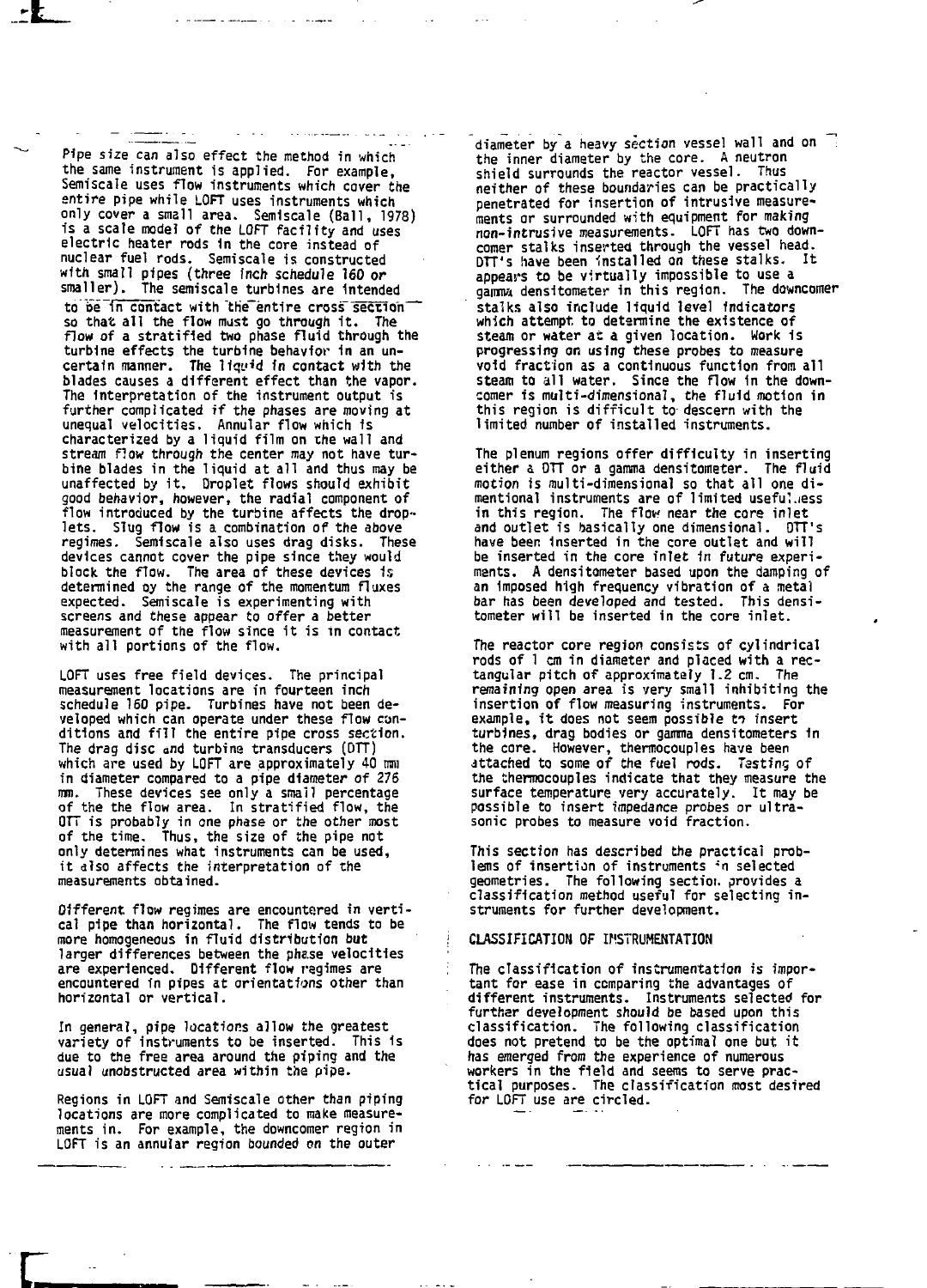**Pipe size can also effect the method in which the same instrument is applied. For example, Semiscale uses flow instruments which cover the entire pipe while LOFT uses instruments which only cover a small area. Semiscale (Ball, 1978) is a scale model of the LOFT facility and uses electric heater rods In the core instead of nuclear fuel rods. Semiscale is constructed with small pipes (three Inch schedule 160 or smaller). The semiscale turbines are Intended** to be in contact with the entire cross section **so that all the flow must go through it. The flow of a stratified two phase fluid through the turbine effects the turbine behavior in an uncertain manner. The Hqy'd in contact with the blades causes a different effect than the vapor. The Interpretation of the instrument output is further complicated if the phases are moving at unequal velocities. Annular flow which is characterized by a liquid film on the wall and stream flow through the center may not have turbine blades in the liquid at all and thus may be unaffected by it. Droplet flows should exhibit good behavior, however, the radial component of flow introduced by the turbine affects the droplets. Slug flow is a combination of the above regimes. Semiscale also uses drag disks. These devices cannot cover the pipe since they would block the flow. The area of these devices Is determined Dy the range of the momentum fluxes expected. Semiscale is experimenting with screens and these appear to offer a better measurement of the flow since it is in contact with all portions of the flow.**

**LOFT uses free field devices. The principal measurement locations are in fourteen inch schedule 160 pipe. Turbines have not been developed which can operate under these flow conditions and fill the entire pipe cross section. The drag disc and turbine transducers (OTT) which are used by LOFT are approximately 40 mm in diameter compared to a pipe diameter of 276 mm. These devices see only a small percentage of the the flow area. In stratified flow, the OTT is probably in one phase or the other roost of the time. Thus, the size of the pipe not only determines what instruments can be used, it also affects the interpretation of the measurements obtained.**

**Olfferent flow regimes are encountered in vertical pipe than horizontal. The flow tends to be more homogeneous in fluid distribution but larger differences between the phase velocities are experienced. Different flow regimes are encountered in pipes at orientations other than horizontal or vertical.**

**In general, pipe locations allow the greatest variety of instruments to be inserted. This is due to the free area around the piping and the usual unobstructed area within the pipe.**

**Regions in LOFT and Semiscale other than piping locations are more complicated to make measurements in. For example, the downcomer region in LOFT is an annular region bounded on the outer**

**diameter by a heavy section vessel wall and on the inner diameter by the core. A neutron shield surrounds the reactor vessel. Thus neither of these boundaries can be practically penetrated for insertion of intrusive measurements or surrounded with equipment for making non-intrusive measurements. LOFT has two downcomer stalks inserted through the vessel head. DTT's have been installed on these stalks. It appears to be virtually impossible to use a gamma densitometer 1n this region. The downcomer stalks also include liquid level indicators which attempt, to determine the existence of steam or water at a given location. Work is progressing on using these probes to measure void fraction as a continuous function from all steam to all water. Since the flow In the downcomer is multi-dimensional, the fluid motion in this region is difficult to descern with the limited number of installed instruments.**

**The plenum regions offer difficulty in inserting either a OTT or a gamma densitometer. The fluid motion is multi-dimensional so that all one dimentional instruments are of limited usefulness in this region. The flow near the core inlet and outlet is basically one dimensional. DTT's have been Inserted in the core outlet and will be inserted in the core inlet In future experiments. A densitometer based upon the damping of an Imposed high frequency vibration of a metal bar has been developed and tested. This densitometer will be inserted in the core inlet.**

**The reactor core region consists of cylindrical rods of 1 on in diameter and placed with a rectangular pitch of approximately 1.2 cm. The remaining open area is very small inhibiting the insertion of flow measuring instruments. For** example, it does not seem possible to insert **turbines, drag bodies or gamma densitometers in the core. However, thermocouples have been attached to some of the fuel rods. Tasting of the thermocouples indicate that they measure the surface temperature very accurately. It may be possible to insert impedance probes or ultrasonic probes to measure void fraction.**

**This section has described the practical problems of insertion of instruments "n selected geometries. The following sectioi. provides a classification method useful for selecting instruments for further development.**

## **CLASSIFICATION OF INSTRUMENTATION**

**The classification of instrumentation is important for ease in comparing the advantages of different instruments. Instruments selected for further development should be based upon this classification. The following classification does not pretend to be the optimal one but it has emerged from the experience of numerous workers in the field and seems to serve practical purposes. The classification most desired for LOFT use are circled.**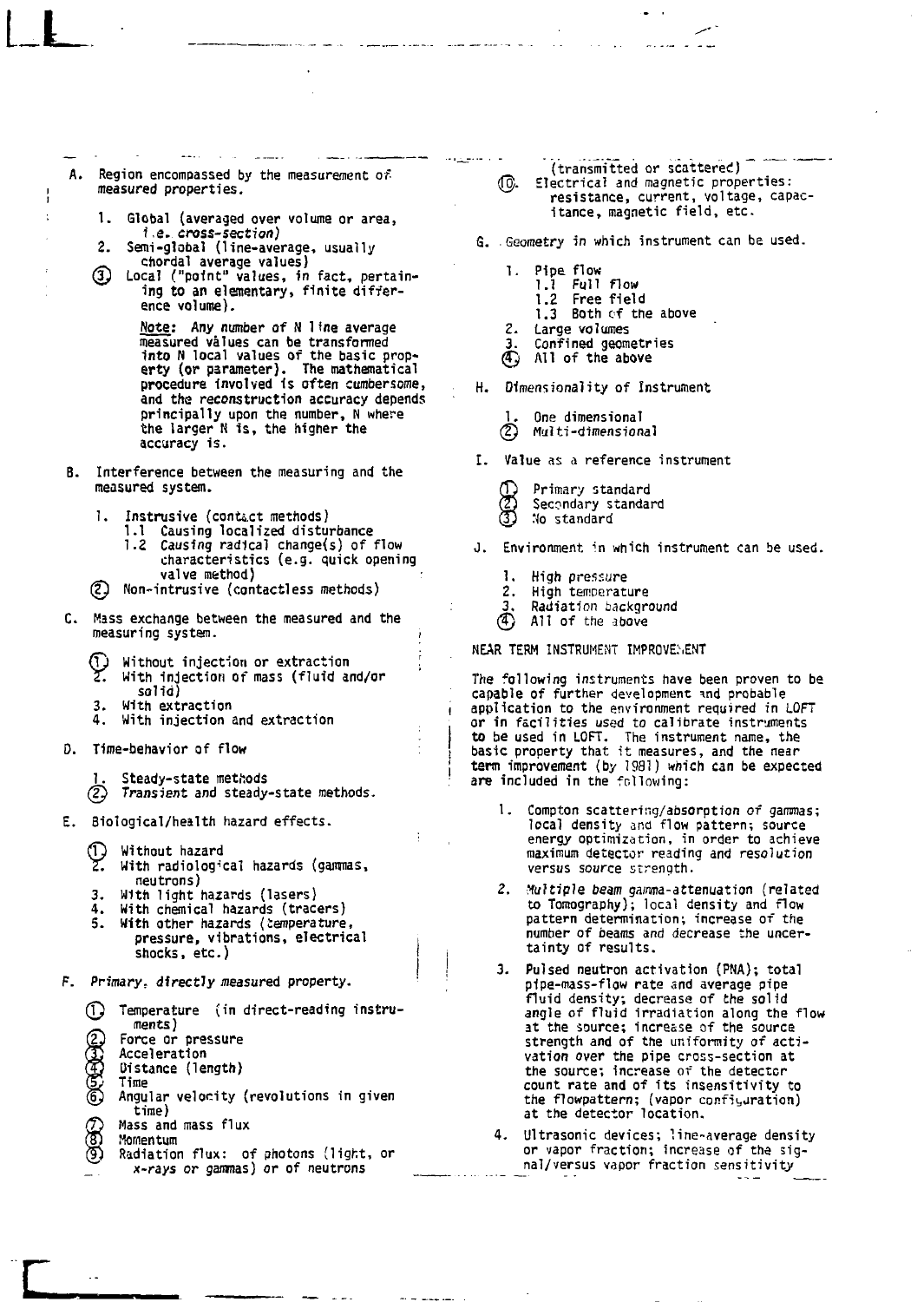**A. Region encompassed by the measurement of measured properties.**

**LL**

ł.

- **1. Global (averaged over volume or area,**
- $\overline{2}$ . Semi-global (line-average, usually chordal average values)
- Local ("point" values, in fact, pertain-**© Local ("point" values, in fact, pertain-ing to an elementary, finite differ-**

**ence volume). Note: Any number of H 11ne average measured values can be transformed into N local values of the basic prop-erty (or parameter). The mathematical procedure involved Is often cumbersome, and the reconstruction accuracy depends principally upon the number, N where the larger N is, the higher the accuracy is.**

- **B. Interference between the measuring and the measured system.**
	- **1. Instrusive (contact methods) 1.1 Causing localized disturbance 1.2 Causing radical change(s) of flow**
	- **characteristics (e.g. quick opening valve method) ( y Non-intrusive (contactless methods)**
	-
- **C. Mass exchange between the measured and the measuring system. i**
	- റ **Without injection or extraction ',** γ. **With injection of mass (fluid and/or**
	- **solid)**
	-
	- **3. With extraction**
- D. Time-behavior of flow
	- Steady-state methods
	- (2) Transient and steady-state methods.
- E. Biological/health hazard effects.

- **T. Without hazard<br>2. With radiological hazards (gammas,** neutrons)<br>3. With light hazards (lasers)
- 
- 4. With chemical hazards (tracers)
- With other hazards (temperature, **3. With other hazards (temperature,**<br> **pressure, vibrations, electrica**<br> **shocks, etc.)**
- **pressure, vibrations, electrical , shocks, interesting to the contract of the set of the contract of the contract of the contract of the contract o** 
	- **(1)** Temperature (in direct-reading instru-(2) Force or<br>
	(3) Accelera<br>
	(3) Oistance<br>
	5) Angular Force or pressure Acceleration **Distance (length)**<br>Time **Distance (length) Time Angle 1**<br>Mass and mass flux ලමට
	- **Momentum**
	- Radiation flux: of photons (light, or x-rays or gammas) or of neutrons x-rays or gammas) or of neutrons

**(transmitted or scattered)**

- **(@. Electrical and magnetic properties: resistance, current, voltage, capacitance, magnetic field, etc.**
- **G. Geometry in which instrument can be used.**
	- **1. Pipe flow 1.1 Full flow 1.2 Free field 1.3 Both of the above**
	- **2. Large volumes**
	- **3. Confined geometries**
	- **0 All of the above**

**H. Dimensionality of Instrument**

- **1. One dimensional**
- **Multi-dimensional**
- **I. Value as a reference instrument**
	- **(D)** Primary standard<br>**(2)** Secondary standar<br>**3)** No standard **fin Secondary standard**
	- **<sup>Q</sup> ) No standard**
- **J. Environment, in which instrument can be used.**
	- **1. High pressure**
	- **2. High temperature**
	- **3. Radiation background**
	- **© All of the above**

**NEAR TERM INSTRUMENT IMPROVEMENT** 

**The following instruments have been proven to be capable of further development w d probable application to the environment required in LOFT or in facilities used to calibrate instruments to be used in LOFT. The instrument name, the basic property that it measures, and the near term improvement (by 1981) which can be expected are included in the following:**

- **1. Compton scattering/absorption of gammas; local density and flow pattern; source energy optimization, in order to achieve maximum detector reading and resolution versus source strength.**
- **2. Multiple beam gamma-attenuation (related to Tomography); local density and flow pattern determination; increase of the number of beams and decrease the uncertainty of results.**
- **3. Pulsed neutron activation (PNA); total pipe-mass-flow rate and average pipe fluid density; decrease of the solid angle of fluid irradiation along the flow at the source; increase of the source strength and of the uniformity of activation over the pipe cross-section at the source; Increase of the detector count rate and of its insensitivity to the flowpattern; (vapor configuration) at the detector location.**
- **4. Ultrasonic devices; line-average density or vapor fraction; increase of the signal/versus vapor fraction sensitivity**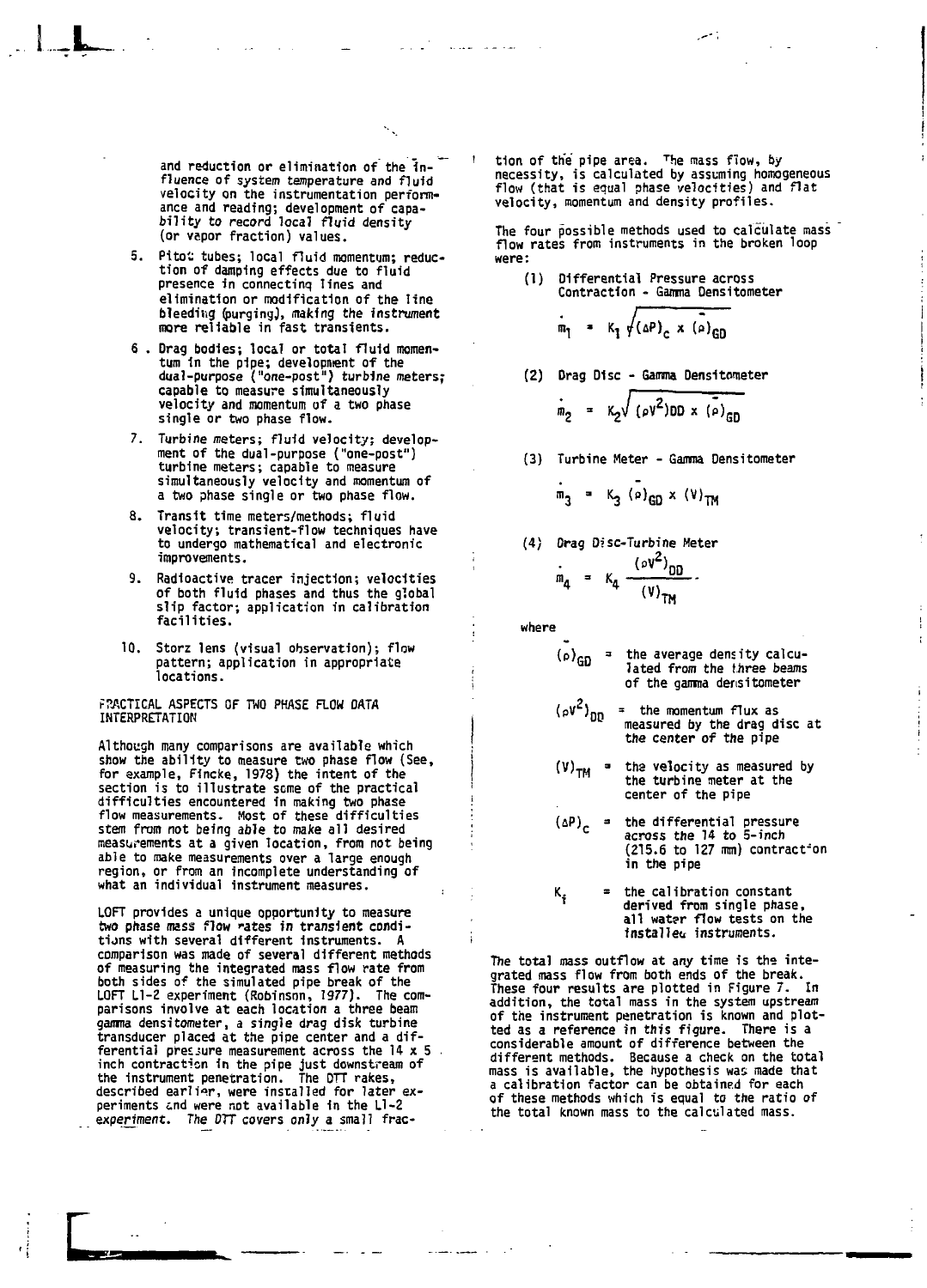**and reduction or elimination of the influence of system temperature and fluid velocity on the instrumentation performance and reading; development of capa-bility to record local fluid density (or vapor fraction) values.**

- **5. Pitoi tubes; local fluid momentum; reduction of damping effects due to fluid presence in connecting lines and elimination or modification of the line bleeding (purging), making the instrument more reliable in fast transients.**
- **6 . Drag bodies; local or total fluid momentum in the pipe; developnient of the dual-purpose ("one-post") turbine meters; capable to measure simultaneously velocity and momentum of a two phase single or two phase flow.**
- **7. Turbine meters; fluid velocity; develop-ment of the dual-purpose ("one-post") turbine meters; capable to measure simultaneously velocity and momentum of a two phase single or two phase flow.**
- **8. Transit time meters/methods; fluid velocity; transient-flow techniques have to undergo mathematical and electronic improvements.**
- **9. Radioactive tracer injection; velocities of both fluid phases and thus the global slip factor; application in calibration facilities.**
- **10. Storz lens (visual observation); flow pattern; application in appropriate locations.**

**PRACTICAL ASPECTS OF TWO PHASE FLOW DATA INTERPRETATION**

**Although many comparisons are available which show the ability to measure two phase flow (See, for example, Fincke, 1978) the intent of the section is to illustrate some of the practical difficulties encountered in making two phase flow measurements. Most of these difficulties stem from not being able to make all desired measurements at a given location, from not being able to make measurements over a large enough region, or from an incomplete understanding of what an individual instrument measures.**

LOFT provides a unique opportunity to m<mark>easure</mark><br>two phase mass flow rates in transient condi**tions with several different Instruments. A comparison was made of several different methods of measuring the integrated mass flow rate from both sides of the simulated pipe break of the LOFT Ll-Z experiment (Robinson, 1977). The comparisons involve at each location a three beam gamma densitometer, a single drag disk turbine transducer placed at the pipe center and a differential pressure measurement across the 14 x 5 inch contraction in the pipe just downstream of the Instrument penetration. The DTT rakes, described earlier, were installed for later ex-periments end were not available in the Ll-Z experiment. The DTT covers only a small frac-** **' tion of the pipe area. <sup>T</sup>he mass flow, by necessity, is calculated by assuming homogeneous flow (that is equal phase velocities) and flat velocity, momentum and density profiles.**

**The four possible methods used to calculate mass flow rates from instruments in the broken loop were:**

**(1) Differential Pressure across Contraction - Gamma Densitometer**

$$
m_1 = K_1 \sqrt{(\Delta P)_c \times (\Delta P)_{GD}}
$$

**(2) Drag Disc - Gamma Oensitometer**

$$
m_2 = K_2 \sqrt{(\rho V^2)DD \times (\rho)_{GD}}
$$

**(3) Turbine Meter - Gamma Densitometer**

$$
m_3 = K_3 (P)_{GD} \times (V)_{TM}
$$

**(4) Drag Disc-Turbine Meter**

$$
m_{4} = K_{4} \frac{(\rho V^{2})_{DD}}{(V)_{TM}}.
$$

**where**

- $\mathfrak{c}_\mathsf{p}$  $\blacksquare$ **the average density calculated from the three beams of the gamma densitometer**
- **(pV<sup>2</sup> )r - the momentum flux as measured by the drag disc at the center of the pipe**
- (V)<sub>TM</sub> = **tha velocity as measured by the turbine meter at the center of the pipe**
- $(DP)$ <sub>c</sub> = **the differential pressure across the 14 to 5-inch (215.6 to 127 mm) contract-on in the pipe**
- $\mathbf{k_i}$ **the calibration constant derived from single phase, all wat?r flow tests on the installer instruments.**

**The total mass outflow at any time is the integrated mass flow from both ends of the break. These four results are plotted in Figure 7. In addition, the total mass in the system upstream of the instrument penetration is known and plotted as a reference in this figure. There is a considerable amount of difference between the different methods. Because a check on the total mass is available, the hypothesis was made that a calibration factor can be obtained for each of these methods which is equal to the ratio of the total known mass to the calculated mass.**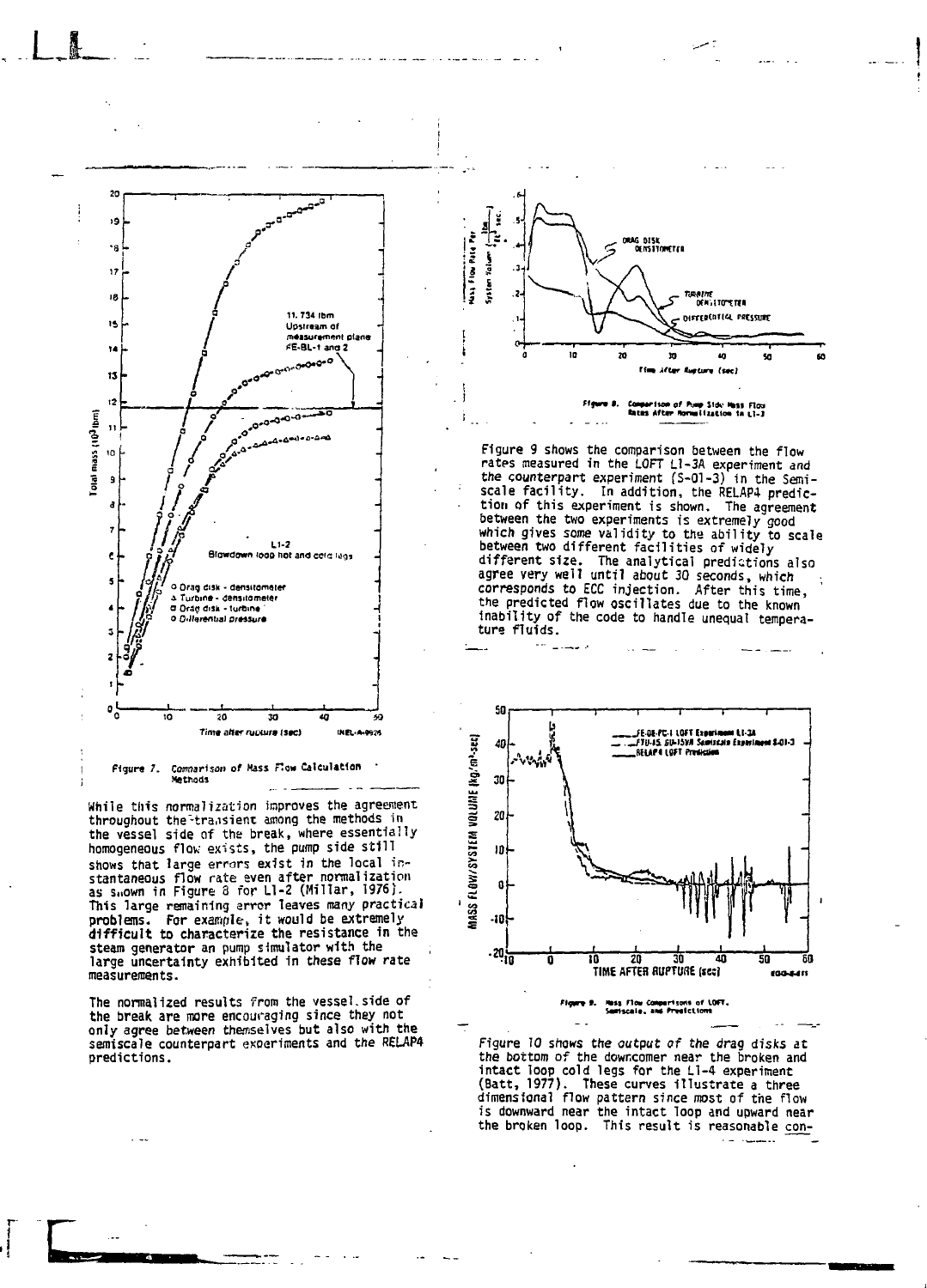



While this normalization improves the agreement throughout the transient among the methods in the vessel side of the break, where essentially homogeneous flow exists, the pump side still shows that large errors exist in the local instantaneous flow rate even after normalization<br>as shown in Figure 8 for L1-2 (Millar, 1976). This large remaining error leaves many practical problems. For example, it would be extremely difficult to characterize the resistance in the steam generator an pump simulator with the<br>large uncertainty exhibited in these flow rate measurements.

The normalized results from the vessel side of the break are more encouraging since they not only agree between themselves but also with the semiscale counterpart experiments and the RELAP4 predictions.



Figure 9 shows the comparison between the flow<br>rates measured in the LOFT Ll-3A experiment and the counterpart experiment  $(S-01-3)$  in the Semiscale facility. In addition, the RELAP4 predic-<br>tion of this experiment is shown. The agreement between the two experiments is extremely good<br>which gives some validity to the ability to scale<br>between two different facilities of widely different size. The analytical predictions also<br>agree very well until about 30 seconds, which corresponds to ECC injection. After this time,<br>the predicted flow oscillates due to the known inability of the code to handle unequal temperature fluids.



Figure 9. Moss Flow Comparisons of LOFT.<br>Seniscale, and Predictions

Figure 10 shows the output of the drag disks at the bottom of the downcomer near the broken and<br>intact loop cold legs for the L1-4 experiment (Batt, 1977). These curves illustrate a three dimensional flow pattern since most of the flow is downward near the intact loop and upward near the broken loop. This result is reasonable con-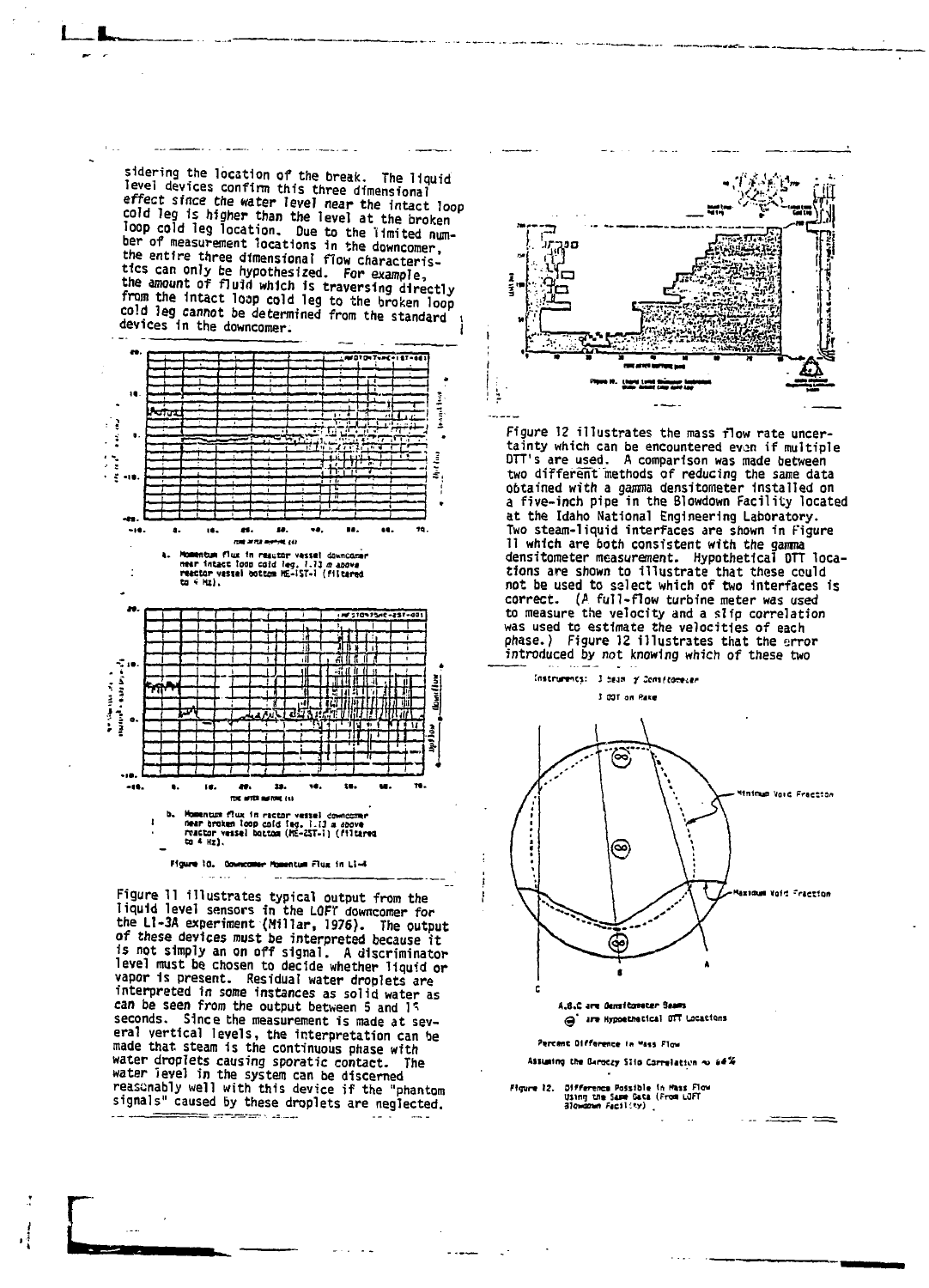sidering the location of the break. The liquid level devices confirm this three dimensional effect since the water level near the intact loop cold leg is higher than the level at the broken<br>loop cold leg location. Due to the limited number of measurement locations in the downcomer, the entire three dimensional flow characteristics can only be hypothesized. For example,<br>the amount of fluid which is traversing directly<br>from the intact loop cold leg to the broken loop cold leg cannot be determined from the standard devices in the downcomer.



Figure 11 illustrates typical output from the<br>liquid level sensors in the LOFT downcomer for<br>the L1-3A experiment (Millar, 1976). The output of these devices must be interpreted because it<br>is not simply an on off signal. A discriminator level must be chosen to decide whether liquid or vapor is present. Residual water droplets are interpreted in some instances as solid water as can be seen from the output between 5 and 15 seconds. Since the measurement is made at several vertical levels, the interpretation can be made that steam is the continuous phase with water droplets causing sporatic contact. The water level in the system can be discerned reasonably well with this device if the "phantom signals" caused by these droplets are neglected.

.<br>ಸಮಾಜನಾಯ ಸಂಸ್ಥೆ



Figure 12 illustrates the mass flow rate uncertainty which can be encountered even if multiple DTT's are used. A comparison was made between two different methods of reducing the same data<br>obtained with a gamma densitometer installed on a five-inch pipe in the Blowdown Facility located at the Idaho National Engineering Laboratory. Two steam-liquid interfaces are shown in Figure II which are both consistent with the gamma densitometer measurement. Hypothetical DTT locations are shown to illustrate that these could not be used to select which of two interfaces is correct. (A full-flow turbine meter was used to measure the velocity and a slip correlation was used to estimate the velocities of each<br>phase.) Figure 12 illustrates that the error introduced by not knowing which of these two



a are Hypoethetical OTT Locations Percent Olfference in Mass Flow

Assuming the Baroczy Slip Correlation ~ 64%

Figure 12. Offference Possible in Mass Flow<br>Using the Same Gata (From LJFT<br>- Blowdown Facility)

ł

.<br>ವರ್ಷ-ಪಾ

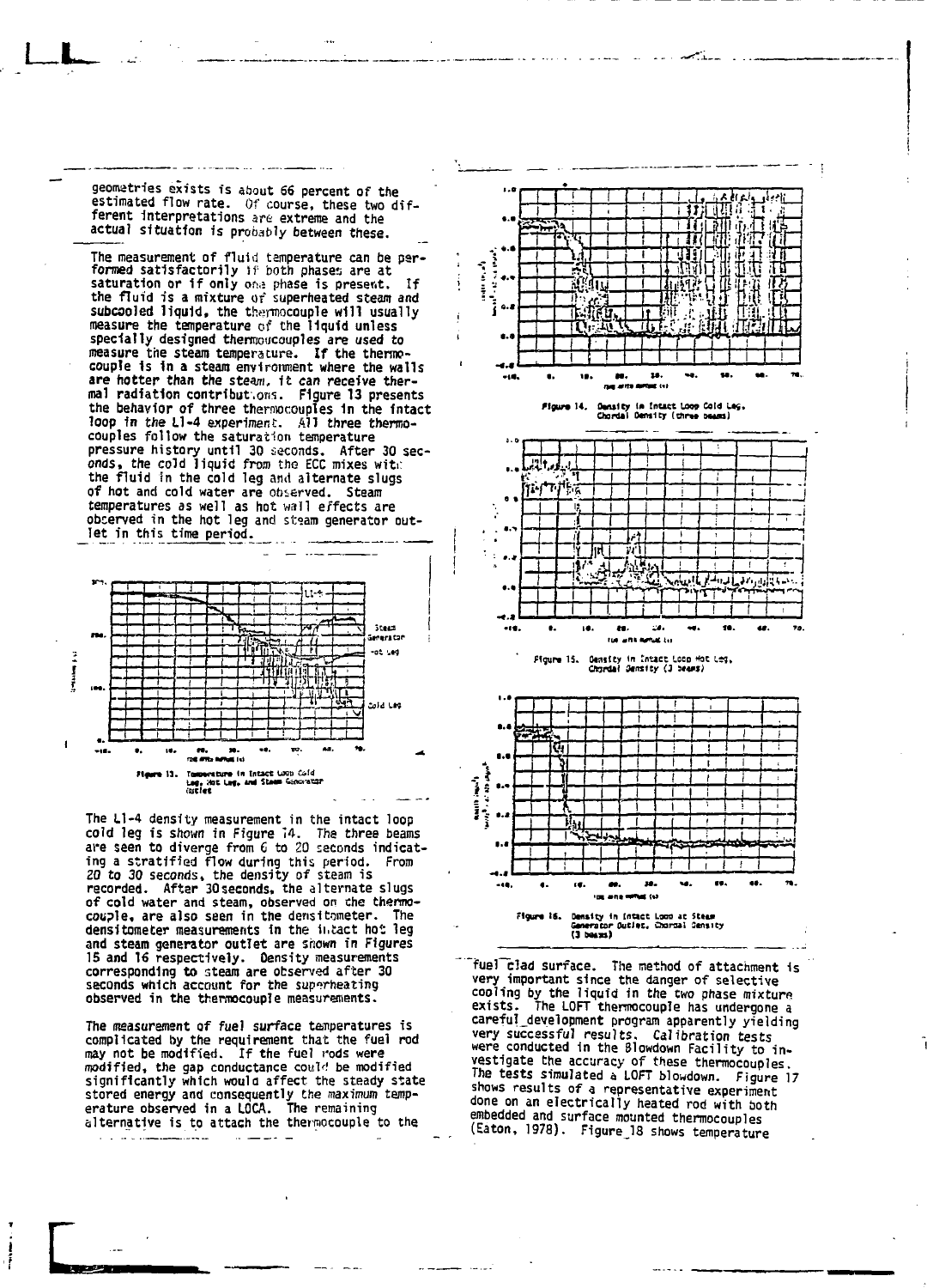**geomatries exists is about 66 percent of the estimated flow rate. Of course, these two dif**ferent interpretations are extreme and the **actual situatfon ts probably between these.**

**I L**

The measurement of fluid temperature can be per-<br>**formed satisfactorily** if both phases are at<br>**saturation or if only** one phase is present. If<br>the fluid is a mixture of superheated steam and **subcsoled liquid, the thermocouple will usually measure the temperature of the liquid unless specially designed therraoucouples are used to measure the steam temperature. If the thermocouple Is 1n a steam environment where the walls are hotter than the stesm. It can receive thermal radiation contribut.oris. Figure 13 presents the behavior of three thermocouples 1n the Intact loop fn the Ll-4 experiment. All three thermocouples follow the saturation temperature pressure history until 30 seconds. After 30 sec-onds, the cold liquid from the ECC mixes witi: the fluid In the cold leg ami alternate slugs of hot and cold water are observed. Steam temperatures as well as hot wall effects are observed in the hot leg and stsam generator outlet in this time period.**



**The Ll-4 density measurement in the intact loop cold leg is shown in Figure 14. The three beams are seen to diverge from 6 to 20 seconds indicating a stratified flow during this period. From 20 to 30 seconds, the density of steam is recorded. After 3Oseconds, the alternate slugs of cold water and steam, observed on the thermocouple, are also seen in the densitometer. The densitometer measurements in the ii.tact ho': leg and steam generator outlet are shown in Figures 15 and 16 respectively. Oensity measurements corresponding to steam are observed after 30 seconds which account for the superheating observed in the thermocouple measurements.**

**The measurement of fuel surface temperatures is complicated by the requirement that the fuel rod may not be modified. If the fuel rods were modified, the gap conductance coulri be modified significantly which would affect the steady state stored energy and consequently the maximum temperature observed in a LOCA. The remaining alternative is to attach the thermocouple to the**

 $\sim$ 













**"fuel~clad surface. The method of attachment is very important since the danger of selective cooling by the liquid in the two phase mixture exists. The LOFT thermocouple has undergone a careful\_development program apparently yielding very successful results. Calibration tests were conducted in the Blowdown Facility to investigate the accuracy of these thermocouples. The tests simulated a LOFT blowdown. Figure 17 shows results of a representative experiment done on an electrically heated rod with both embedded and surface mounted thermocouples (Eaton, 1978). Figure\_18 shows temperature**